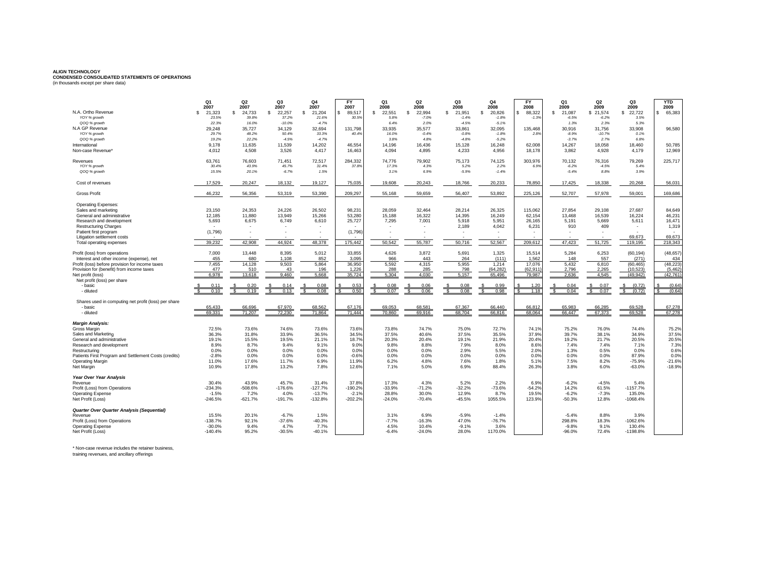## **ALIGN TECHNOLOGY CONDENSED CONSOLIDATED STATEMENTS OF OPERATIONS** (in thousands except per share data)

|                                                       | Q1                   | Q2              | Q3              | Q <sub>4</sub>        | <b>FY</b>       | Q <sub>1</sub> | Q2                | Q <sub>3</sub>    | Q4                | <b>FY</b>         | Q <sub>1</sub>    | Q <sub>2</sub>    | Q3             | <b>YTD</b> |
|-------------------------------------------------------|----------------------|-----------------|-----------------|-----------------------|-----------------|----------------|-------------------|-------------------|-------------------|-------------------|-------------------|-------------------|----------------|------------|
| N.A. Ortho Revenue                                    | 2007<br>21,323<br>-S | 2007<br>\$      | 2007<br>\$.     | 2007                  | 2007<br>s.      | 2008<br>\$.    | 2008<br>s         | 2008<br>\$.       | 2008<br>s         | 2008<br>\$.       | 2009<br>\$.       | 2009<br>\$.       | 2009<br>\$.    | 2009       |
| YOY % growth                                          | 23.5%                | 24,733<br>39.8% | 22,257<br>37.2% | \$<br>21,204<br>21.6% | 89,517<br>30.5% | 22,551<br>5.8% | 22,994<br>$-7.0%$ | 21,951<br>$-1.4%$ | 20,826<br>$-1.8%$ | 88,322<br>$-1.39$ | 21,087<br>$-6.5%$ | 21,574<br>$-6.2%$ | 22,722<br>3.5% | 65,383     |
| QOQ % growth                                          | 22.3%                | 16.0%           | $-10.0%$        | $-4.7%$               |                 | 6.4%           | 2.0%              | $-4.5%$           | $-5.1%$           |                   | 1.3%              | 2.3%              | 5.3%           |            |
| N.A GP Revenue                                        | 29.248               | 35.727          | 34.129          | 32.694                | 131.798         | 33.935         | 35.577            | 33.861            | 32.095            | 135.468           | 30.916            | 31.756            | 33,908         | 96,580     |
| YOY % growth                                          | 29.7%                | 48.2%           | 50.4%           | 33.3%                 | 40.4%           | 16.0%          | $-0.4%$           | $-0.8%$           | $-1.8%$           | 2.8%              | $-8.9%$           | $-10.7%$          | 0.1%           |            |
| QOQ % growth                                          | 19.2%                | 22.2%           | $-4.5%$         | $-4.7%$               |                 | 3.8%           | 4.8%              | $-4.8%$           | $-5.2%$           |                   | $-3.7%$           | 2.7%              | 6.8%           |            |
| International                                         | 9.178                | 11.635          | 11.539          | 14.202                | 46.554          | 14.196         | 16.436            | 15.128            | 16,248            | 62,008            | 14.267            | 18.058            | 18.460         | 50.785     |
| Non-case Revenue'                                     | 4.012                | 4,508           | 3,526           | 4,417                 | 16,463          | 4.094          | 4,895             | 4,233             | 4,956             | 18,178            | 3.862             | 4.928             | 4,179          | 12,969     |
|                                                       |                      |                 |                 |                       |                 |                |                   |                   |                   |                   |                   |                   |                |            |
| Revenues                                              | 63,761               | 76,603          | 71.451          | 72,517                | 284,332         | 74,776         | 79,902            | 75,173            | 74,125            | 303,976           | 70,132            | 76,316            | 79,269         | 225,717    |
| YOY % growth                                          | 30.4%                | 43.9%           | 45.7%           | 31.4%                 | 37.8%           | 17.3%          | 4.3%              | 5.2%              | 2.2%              | 6.9%              | $-6.2%$           | $-4.5%$           | 5.4%           |            |
| QOQ % growth                                          | 15.5%                | 20.1%           | $-6.7%$         | 1.5%                  |                 | 3.1%           | 6.9%              | $-5.9%$           | $-1.4%$           |                   | $-5.4%$           | 8.8%              | 3.9%           |            |
| Cost of revenues                                      | 17,529               | 20,247          | 18,132          | 19,127                | 75,035          | 19,608         | 20,243            | 18,766            | 20,233            | 78,850            | 17,425            | 18,338            | 20,268         | 56,031     |
| <b>Gross Profit</b>                                   | 46.232               | 56,356          | 53,319          | 53.390                | 209.297         | 55.168         | 59.659            | 56,407            | 53.892            | 225.126           | 52.707            | 57,978            | 59.001         | 169,686    |
| <b>Operating Expenses:</b>                            |                      |                 |                 |                       |                 |                |                   |                   |                   |                   |                   |                   |                |            |
| Sales and marketing                                   | 23.150               | 24,353          | 24,226          | 26.502                | 98.231          | 28,059         | 32.464            | 28,214            | 26,325            | 115,062           | 27,854            | 29,108            | 27.687         | 84,649     |
| General and administrative                            | 12,185               | 11,880          | 13,949          | 15,266                | 53,280          | 15,188         | 16,322            | 14,395            | 16,249            | 62,154            | 13.468            | 16,539            | 16,224         | 46,23      |
| Research and development                              | 5,693                | 6,675           | 6,749           | 6,610                 | 25.727          | 7,295          | 7,001             | 5,918             | 5,951             | 26.165            | 5,191             | 5,669             | 5,611          | 16,471     |
| <b>Restructuring Charges</b>                          |                      |                 |                 |                       |                 |                |                   | 2,189             | 4,042             | 6,231             | 910               | 409               |                | 1.319      |
| Patient first program                                 | (1,796)              |                 |                 |                       | (1,796)         |                |                   |                   |                   |                   |                   |                   |                |            |
| Litigation settlement costs                           |                      |                 |                 |                       |                 |                |                   |                   |                   |                   |                   |                   | 69.673         | 69.673     |
| Total operating expenses                              | 39.232               | 42,908          | 44.924          | 48.378                | 175.442         | 50.542         | 55,787            | 50.716            | 52,567            | 209,612           | 47.423            | 51.725            | 119,195        | 218.343    |
| Profit (loss) from operations                         | 7,000                | 13,448          | 8,395           | 5,012                 | 33,855          | 4,626          | 3,872             | 5,691             | 1,325             | 15,514            | 5,284             | 6,253             | (60, 194)      | (48, 657)  |
| Interest and other income (expense), net              | 455                  | 680             | 1.108           | 852                   | 3.095           | 966            | 443               | 264               | (111)             | 1.562             | 148               | 557               | (271)          | 434        |
| Profit (loss) before provision for income taxes       | 7,455                | 14,128          | 9,503           | 5,864                 | 36,950          | 5,592          | 4,315             | 5,955             | 1,214             | 17,076            | 5,432             | 6,810             | (60, 465)      | (48, 223)  |
| Provision for (benefit) from income taxes             | 477                  | 510             | 43              | 196                   | 1,226           | 288            | 285               | 798               | (64, 282)         | (62,911           | 2,796             | 2,265             | (10, 523)      | (5, 462)   |
| Net profit (loss)                                     | 6.978                | 13,618          | 9.460           | 5.668                 | 35,724          | 5.304          | 4.030             | 5.157             | 65.496            | 79.987            | 2.636             | 4.545             | (49.942)       | (42.761)   |
| Net profit (loss) per share                           |                      |                 |                 |                       |                 |                |                   |                   |                   |                   |                   |                   |                |            |
| - basic                                               |                      |                 |                 | 0.08                  | 0.53            | 0.08           | 0.06              | 0.08              | 0.99              | 1.20              | 0.04              | 0.07              | (0.72)         | (0.64)     |
| - diluted                                             | 0.10                 | 0.19            | 0.13            | 0.08                  | 0.50            | 0.07           | 0.06              | 0.08              | 0.98              | 1.18              | 0.04              | 0.07              | (0.72)         | (0.64)     |
| Shares used in computing net profit (loss) per share  |                      |                 |                 |                       |                 |                |                   |                   |                   |                   |                   |                   |                |            |
| - basic                                               | 65.433               | 66.696          | 67.970          | 68.562                | 67.176          | 69.053         | 68.581            | 67.367            | 66.440            | 66.812            | 65.983            | 66.285            | 69.528         | 67.278     |
| - diluted                                             | 69.331               | 71.207          | 72 230          | 71.864                | 71.444          | 70.860         | 69.916            | 68.704            | 66,816            | 68.064            | 66.447            | 67.373            | 69.528         | 67.278     |
| <b>Margin Analysis:</b>                               |                      |                 |                 |                       |                 |                |                   |                   |                   |                   |                   |                   |                |            |
| Gross Margin                                          | 72.5%                | 73.6%           | 74.6%           | 73.6%                 | 73.6%           | 73.8%          | 74.7%             | 75.0%             | 72.7%             | 74.1%             | 75.2%             | 76.0%             | 74.4%          | 75.2%      |
| Sales and Marketing                                   | 36.3%                | 31.8%           | 33.9%           | 36.5%                 | 34.5%           | 37.5%          | 40.6%             | 37.5%             | 35.5%             | 37.9%             | 39.7%             | 38.1%             | 34.9%          | 37.5%      |
| General and administrative                            | 19.1%                | 15.5%           | 19.5%           | 21.1%                 | 18.7%           | 20.3%          | 20.4%             | 19.1%             | 21.9%             | 20.4%             | 19.2%             | 21.7%             | 20.5%          | 20.5%      |
| Research and development                              | 8.9%                 | 8.7%            | 9.4%            | 9.1%                  | 9.0%            | 9.8%           | 8.8%              | 7.9%              | 8.0%              | 8.6%              | 7.4%              | 7.4%              | 7.1%           | 7.3%       |
| Restructuring                                         | 0.0%                 | 0.0%            | 0.0%            | 0.0%                  | 0.0%            | 0.0%           | 0.0%              | 2.9%              | 5.5%              | 2.0%              | 1.3%              | 0.5%              | 0.0%           | 0.6%       |
| Patients First Program and Settlement Costs (credits) | $-2.8%$              | 0.0%            | 0.0%            | 0.0%                  | $-0.6%$         | 0.0%           | 0.0%              | 0.0%              | 0.0%              | 0.0%              | 0.0%              | 0.0%              | 87.9%          | 0.0%       |
| <b>Operating Margin</b>                               | 11.0%                | 17.6%           | 11.7%           | 6.9%                  | 11.9%           | 6.2%           | 4.8%              | 7.6%              | 1.8%              | 5.1%              | 7.5%              | 8.2%              | $-75.9%$       | $-21.6%$   |
| Net Margin                                            | 10.9%                | 17.8%           | 13.2%           | 7.8%                  | 12.6%           | 7.1%           | 5.0%              | 6.9%              | 88.4%             | 26.3%             | 3.8%              | 6.0%              | $-63.0%$       | $-18.9%$   |
| Year Over Year Analysis                               |                      |                 |                 |                       |                 |                |                   |                   |                   |                   |                   |                   |                |            |
| Revenue                                               | 30.4%                | 43.9%           | 45.7%           | 31.4%                 | 37.8%           | 17.3%          | 4.3%              | 5.2%              | 2.2%              | 6.9%              | $-6.2%$           | $-4.5%$           | 5.4%           |            |
| Profit (Loss) from Operations                         | $-234.3%$            | $-508.6%$       | $-176.6%$       | $-127.7%$             | $-190.2%$       | $-33.9%$       | $-71.2%$          | $-32.2%$          | $-73.6%$          | $-54.2%$          | 14.2%             | 61.5%             | $-1157.7%$     |            |
| <b>Operating Expense</b>                              | $-1.5%$              | 7.2%            | 4.0%            | $-13.7%$              | $-2.1%$         | 28.8%          | 30.0%             | 12.9%             | 8.7%              | 19.5%             | $-6.2%$           | $-7.3%$           | 135.0%         |            |
| Net Profit (Loss)                                     | $-246.5%$            | $-621.7%$       | $-191.7%$       | $-132.8%$             | $-202.2%$       | $-24.0%$       | $-70.4%$          | $-45.5%$          | 1055.5%           | 123.9%            | $-50.3%$          | 12.8%             | $-1068.4%$     |            |
| <b>Quarter Over Quarter Analysis (Sequential)</b>     |                      |                 |                 |                       |                 |                |                   |                   |                   |                   |                   |                   |                |            |
| Revenue                                               | 15.5%                | 20.1%           | $-6.7%$         | 1.5%                  |                 | 3.1%           | 6.9%              | $-5.9%$           | $-1.4%$           |                   | $-5.4%$           | 8.8%              | 3.9%           |            |
| Profit (Loss) from Operations                         | $-138.7%$            | 92.1%           | $-37.6%$        | $-40.3%$              |                 | $-7.7%$        | $-16.3%$          | 47.0%             | $-76.7%$          |                   | 298.8%            | 18.3%             | $-1062.6%$     |            |
| <b>Operating Expense</b>                              | $-30.0%$             | 9.4%            | 4.7%            | 7.7%                  |                 | 4.5%           | 10.4%             | $-9.1%$           | 3.6%              |                   | $-9.8%$           | 9.1%              | 130.4%         |            |
| Net Profit (Loss)                                     | $-140.4%$            | 95.2%           | $-30.5%$        | $-40.1%$              |                 | $-6.4%$        | $-24.0%$          | 28.0%             | 1170.0%           |                   | $-96.0%$          | 72.4%             | $-1198.8%$     |            |

\* Non-case revenue includes the retainer business, training revenues, and ancillary offerings